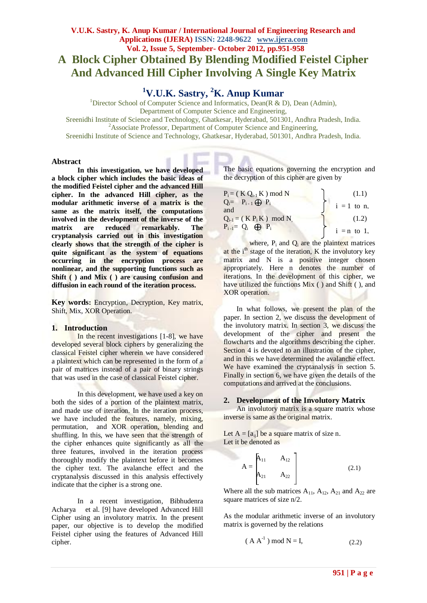# **V.U.K. Sastry, K. Anup Kumar / International Journal of Engineering Research and Applications (IJERA) ISSN: 2248-9622 www.ijera.com Vol. 2, Issue 5, September- October 2012, pp.951-958 A Block Cipher Obtained By Blending Modified Feistel Cipher And Advanced Hill Cipher Involving A Single Key Matrix**

# **<sup>1</sup>V.U.K. Sastry, <sup>2</sup>K. Anup Kumar**

<sup>1</sup>Director School of Computer Science and Informatics, Dean(R & D), Dean (Admin),

Department of Computer Science and Engineering,

Sreenidhi Institute of Science and Technology, Ghatkesar, Hyderabad, 501301, Andhra Pradesh, India. <sup>2</sup>Associate Professor, Department of Computer Science and Engineering,

Sreenidhi Institute of Science and Technology, Ghatkesar, Hyderabad, 501301, Andhra Pradesh, India.

### **Abstract**

**In this investigation, we have developed a block cipher which includes the basic ideas of the modified Feistel cipher and the advanced Hill cipher. In the advanced Hill cipher, as the modular arithmetic inverse of a matrix is the same as the matrix itself, the computations involved in the development of the inverse of the matrix are reduced remarkably. The cryptanalysis carried out in this investigation clearly shows that the strength of the cipher is quite significant as the system of equations occurring in the encryption process are nonlinear, and the supporting functions such as Shift ( ) and Mix ( ) are causing confusion and diffusion in each round of the iteration process.**

**Key words:** Encryption, Decryption, Key matrix, Shift, Mix, XOR Operation.

### **1. Introduction**

In the recent investigations [1-8], we have developed several block ciphers by generalizing the classical Feistel cipher wherein we have considered a plaintext which can be represented in the form of a pair of matrices instead of a pair of binary strings that was used in the case of classical Feistel cipher.

In this development, we have used a key on both the sides of a portion of the plaintext matrix, and made use of iteration. In the iteration process, we have included the features, namely, mixing, permutation, and XOR operation, blending and shuffling. In this, we have seen that the strength of the cipher enhances quite significantly as all the three features, involved in the iteration process thoroughly modify the plaintext before it becomes the cipher text. The avalanche effect and the cryptanalysis discussed in this analysis effectively indicate that the cipher is a strong one.

In a recent investigation, Bibhudenra Acharya et al. [9] have developed Advanced Hill Cipher using an involutory matrix. In the present paper, our objective is to develop the modified Feistel cipher using the features of Advanced Hill cipher.

The basic equations governing the encryption and the decryption of this cipher are given by

| $P_i = (K Q_{i-1} K) \text{ mod } N$ | (1.1)         |
|--------------------------------------|---------------|
| $Q_i = P_{i-1} \bigoplus P_i$<br>and | $i = 1$ to n. |
| $Q_{i-1} = (K P_i K) \mod N$         | (1.2)         |
| $P_{i-1} = Q_i \oplus P_i$           | $i = n$ to 1, |

where,  $P_i$  and  $Q_i$  are the plaintext matrices at the  $i<sup>th</sup>$  stage of the iteration, K the involutory key matrix and N is a positive integer chosen appropriately. Here n denotes the number of iterations. In the development of this cipher, we have utilized the functions Mix ( ) and Shift ( ), and XOR operation.

In what follows, we present the plan of the paper. In section 2, we discuss the development of the involutory matrix. In section 3, we discuss the development of the cipher and present the flowcharts and the algorithms describing the cipher. Section 4 is devoted to an illustration of the cipher, and in this we have determined the avalanche effect. We have examined the cryptanalysis in section 5. Finally in section 6, we have given the details of the computations and arrived at the conclusions.

### **2. Development of the Involutory Matrix**

An involutory matrix is a square matrix whose inverse is same as the original matrix.

Let  $A = [a_{ii}]$  be a square matrix of size n. Let it be denoted as

$$
A = \begin{bmatrix} A_{11} & A_{12} \\ A_{21} & A_{22} \end{bmatrix}
$$
 (2.1)

Where all the sub matrices  $A_{11}$ ,  $A_{12}$ ,  $A_{21}$  and  $A_{22}$  are square matrices of size n/2.

As the modular arithmetic inverse of an involutory matrix is governed by the relations

$$
(AA^{-1}) \bmod N = I,
$$
 (2.2)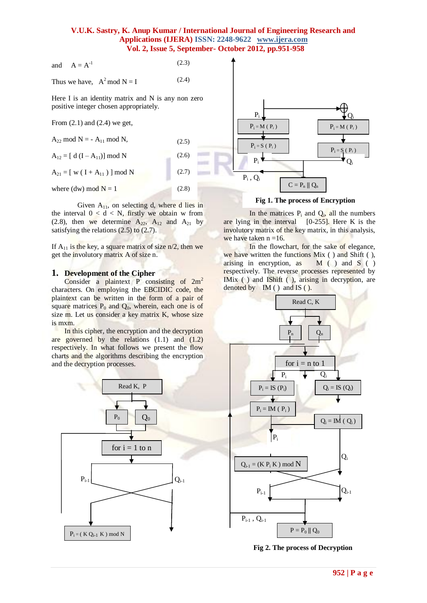and 
$$
A = A^{-1}
$$
 (2.3)

Thus we have,  $A^2$  mod  $N = I$ (2.4)

Here I is an identity matrix and N is any non zero positive integer chosen appropriately.

From  $(2.1)$  and  $(2.4)$  we get,

| $A_{22}$ mod N = - $A_{11}$ mod N,         | (2.5) |  |
|--------------------------------------------|-------|--|
| $A_{12} = [d (I - A_{11})] \text{ mod } N$ | (2.6) |  |
| $A_{21} = [ w ( I + A_{11} ) ] \bmod N$    | (2.7) |  |
| where (dw) mod $N = 1$                     | (2.8) |  |

Given  $A_{11}$ , on selecting d, where d lies in the interval  $0 < d < N$ , firstly we obtain w from (2.8), then we determine  $A_{22}$ ,  $A_{12}$  and  $A_{21}$  by satisfying the relations (2.5) to (2.7).

If  $A_{11}$  is the key, a square matrix of size  $n/2$ , then we get the involutory matrix A of size n.

#### **1. Development of the Cipher**

Consider a plaintext P consisting of  $2m^2$ characters. On employing the EBCIDIC code, the plaintext can be written in the form of a pair of square matrices  $P_0$  and  $Q_0$ , wherein, each one is of size m. Let us consider a key matrix K, whose size is mxm.

In this cipher, the encryption and the decryption are governed by the relations  $(1.1)$  and  $(1.2)$ respectively. In what follows we present the flow charts and the algorithms describing the encryption and the decryption processes.





**Fig 1. The process of Encryption**

In the matrices  $P_i$  and  $Q_i$ , all the numbers are lying in the interval [0-255]. Here K is the involutory matrix of the key matrix, in this analysis, we have taken  $n = 16$ .

In the flowchart, for the sake of elegance, we have written the functions Mix ( ) and Shift ( ), arising in encryption, as  $M($  ) and  $S($  ) respectively. The reverse processes represented by IMix ( ) and IShift ( ), arising in decryption, are denoted by IM ( ) and IS ( ).



**Fig 2. The process of Decryption**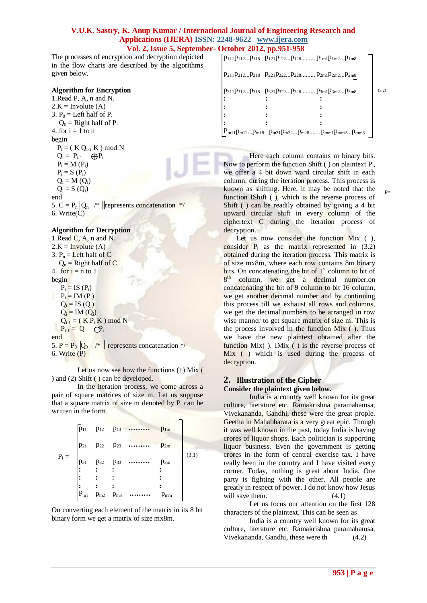The processes of encryption and decryption depicted in the flow charts are described by the algorithms given below.

# **Algorithm for Encryption**

1.Read P, A, n and N.  $2.K = Involute (A)$ 3.  $P_0$  = Left half of P.  $Q_0$  = Right half of P. 4. for  $i = 1$  to n begin  $P_i = (K Q_{i-1} K) \text{ mod } N$  $Q_i = P_{i-1}$   $\bigoplus P_i$  $P_i = M(P_i)$  $P_i = S(P_i)$  $Q_i = M(Q_i)$  $Q_i = S(Q_i)$ end 5.  $C = P_n ||Q_n$  /\* | represents concatenation \*/ 6. Write(C)

## **Algorithm for Decryption**

1.Read C, A, n and N.  $2.K = Involute (A)$ 3.  $P_n =$  Left half of C  $Q_n$  = Right half of C 4. for  $i = n$  to 1 begin  $P_i = IS(P_i)$  $P_i = IM(P_i)$  $Q_i = IS (Q_i)$  $Q_i = IM(Q_i)$  $Q_{i-1} = (K P_i K) \mod N$  $P_{i-1} = Q_i$   $\bigoplus_{i=1}^{n} P_i$ end 5.  $P = P_0 ||Q_0$  /\* || represents concatenation \*/ 6. Write (P)

Let us now see how the functions (1) Mix ( ) and (2) Shift ( ) can be developed.

In the iteration process, we come across a pair of square matrices of size m. Let us suppose that a square matrix of size m denoted by  $P_i$  can be written in the form

|         |                            |                                 | $p_{11}$ $p_{12}$ $p_{13}$ | $p_{1m}$ |       |
|---------|----------------------------|---------------------------------|----------------------------|----------|-------|
|         | $p_{21}$                   | P <sub>22</sub> P <sub>23</sub> | .                          | $p_{2m}$ |       |
| $P_i =$ | $p_{31}$                   | $p_{32}$ $p_{33}$               | .                          | $p_{3m}$ | (3.1) |
|         |                            |                                 |                            |          |       |
|         |                            |                                 |                            |          |       |
|         | $\mathbf{P}_{\mathrm{m}1}$ | $p_{m2}$ $p_{m3}$               |                            | $p_{nm}$ |       |

On converting each element of the matrix in its 8 bit binary form we get a matrix of size mx8m.

| $p_{111}p_{112}p_{118}$ $p_{121}p_{122}p_{128}p_{128}p_{1m1}p_{1m2}p_{1m8}$ |  |
|-----------------------------------------------------------------------------|--|
| $p_{211}p_{212}p_{218}$ $p_{221}p_{222}p_{228}m_{2m1}p_{2m2}p_{2m8}$        |  |
| $P_311P_312P_318 P_321P_322P_328P_3m1P_3m2P_3m8$                            |  |
|                                                                             |  |
|                                                                             |  |
|                                                                             |  |
|                                                                             |  |
| $P_{m11}p_{m12}p_{m18}$ $p_{m21}p_{m22}p_{m28}p_{mm1}p_{mm2}p_{mm8}$        |  |

Here each column contains m binary bits. Now to perform the function Shift  $( )$  on plaintext  $P_i$ , we offer a 4 bit down ward circular shift in each column, during the iteration process. This process is known as shifting. Here, it may be noted that the function IShift ( ), which is the reverse process of Shift ( ) can be readily obtained by giving a 4 bit upward circular shift in every column of the ciphertext C during the iteration process of decryption.

Let us now consider the function Mix (), consider  $P_i$  as the matrix represented in  $(3.2)$ obtained during the iteration process. This matrix is of size mx8m, where each row contains 8m binary bits. On concatenating the bit of  $1<sup>st</sup>$  column to bit of  $8<sup>th</sup>$ column, we get a decimal number, on concatenating the bit of 9 column to bit 16 column, we get another decimal number and by continuing this process till we exhaust all rows and columns, we get the decimal numbers to be arranged in row wise manner to get square matrix of size m. This is the process involved in the function Mix ( ). Thus we have the new plaintext obtained after the function Mix( ). IMix ( ) is the reverse process of Mix ( ) which is used during the process of decryption.

# **2. Illustration of the Cipher**

**Consider the plaintext given below.**

India is a country well known for its great culture, literature etc. Ramakrishna paramahamsa, Vivekananda, Gandhi, these were the great prople. Geetha in Mahabharata is a very great epic. Though it was well known in the past, today India is having crores of liquor shops. Each politician is supporting liquor business. Even the government is getting crores in the form of central exercise tax. I have really been in the country and I have visited every corner. Today, nothing is great about India. One party is fighting with the other. All people are greatly in respect of power. I do not know how Jesus will save them.  $(4.1)$ 

Let us focus our attention on the first 128 characters of the plaintext. This can be seen as

India is a country well known for its great culture, literature etc. Ramakrishna paramahamsa, Vivekananda, Gandhi, these were th (4.2)

 $P_{\pm}$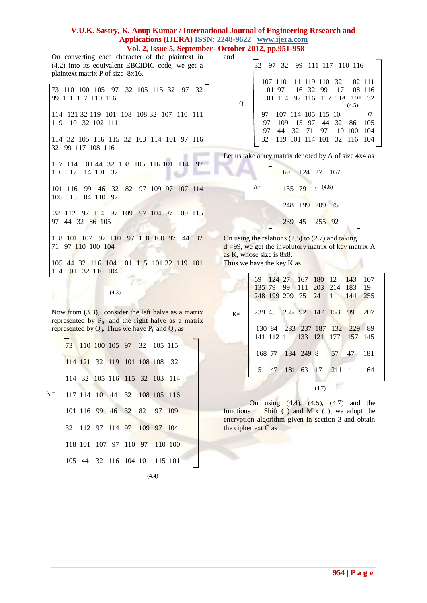and

On converting each character of the plaintext in (4.2) into its equivalent EBCIDIC code, we get a plaintext matrix P of size 8x16.

73 110 100 105 97 32 105 115 32 97 32 99 111 117 110 116 114 121 32 119 101 108 108 32 107 110 111 119 110 32 102 111 114 32 105 116 115 32 103 114 101 97 116 32 99 117 108 116 117 114 101 44 32 108 105 116 101 114 97 116 117 114 101 32

101 116 99 46 32 82 97 109 97 107 114 105 115 104 110 97

32 112 97 114 97 109 97 104 97 109 115 97 44 32 86 105

118 101 107 97 110 97 110 100 97 44 32 71 97 110 100 104

105 44 32 116 104 101 115 101 32 119 101 114 101 32 116 104

(4.3)

Now from  $(3.3)$ , consider the left halve as a matrix represented by  $P_0$ , and the right halve as a matrix represented by  $Q_0$ . Thus we have  $P_0$  and  $Q_0$  as

|         |  | 73 110 100 105 97 32 105 115  |  |  |  |
|---------|--|-------------------------------|--|--|--|
|         |  | 114 121 32 119 101 108 108 32 |  |  |  |
|         |  | 114 32 105 116 115 32 103 114 |  |  |  |
| $P_0 =$ |  | 117 114 101 44 32 108 105 116 |  |  |  |
|         |  | 101 116 99 46 32 82 97 109    |  |  |  |
|         |  | 32 112 97 114 97 109 97 104   |  |  |  |
|         |  | 118 101 107 97 110 97 110 100 |  |  |  |
|         |  | 105 44 32 116 104 101 115 101 |  |  |  |
|         |  |                               |  |  |  |

(4.4)

|          | 32 97 32 99 111 117 110 116 |                                                            |                     |  |                         |       |
|----------|-----------------------------|------------------------------------------------------------|---------------------|--|-------------------------|-------|
|          |                             | 107 110 111 119 110 32 102 111                             |                     |  |                         |       |
|          |                             | 101 97 116 32 99 117 108 116<br>101 114 97 116 117 114 101 |                     |  |                         | 32    |
|          |                             |                                                            |                     |  | (4.5)                   |       |
| $\Omega$ | 97                          | 107 114 105 115 104                                        |                     |  |                         |       |
|          |                             |                                                            |                     |  |                         |       |
|          | 97                          |                                                            |                     |  | 109 115 97 44 32 86 105 |       |
|          | 97                          |                                                            | 44 32 71 97 110 100 |  |                         | - 104 |

Let us take a key matrix denoted by A of size 4x4 as

|      |  | 69 124 27 167  |
|------|--|----------------|
| $A=$ |  | 135 79 (4.6)   |
|      |  | 248 199 209 75 |
|      |  | 239 45 255 92  |

On using the relations (2.5) to (2.7) and taking  $d = 99$ , we get the involutory matrix of key matrix A as K, whose size is 8x8. Thus we have the key K as

|      |  |  |       | 69 124 27 167 180 12 143 107  |  |
|------|--|--|-------|-------------------------------|--|
|      |  |  |       | 135 79 99 111 203 214 183 19  |  |
|      |  |  |       | 248 199 209 75 24 11 144 255  |  |
| $K=$ |  |  |       | 239 45 255 92 147 153 99 207  |  |
|      |  |  |       | 130 84 233 237 187 132 229 89 |  |
|      |  |  |       | 141 112 1 133 121 177 157 145 |  |
|      |  |  |       |                               |  |
|      |  |  |       | 168 77 134 249 8 57 47 181    |  |
|      |  |  |       | 5 47 181 63 17 211 1 164      |  |
|      |  |  | (4.7) |                               |  |

On using (4.4), (4.5), (4.7) and the functions Shift ( ) and Mix ( ), we adopt the encryption algorithm given in section 3 and obtain the ciphertext C as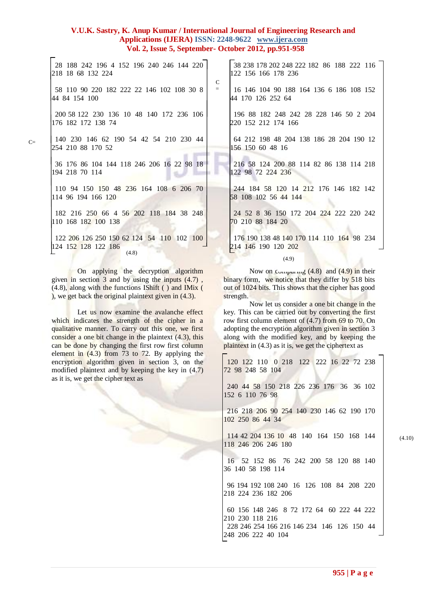28 188 242 196 4 152 196 240 246 144 220 218 18 68 132 224 58 110 90 220 182 222 22 146 102 108 30 8 44 84 154 100 200 58 122 230 136 10 48 140 172 236 106 176 182 172 138 74 140 230 146 62 190 54 42 54 210 230 44 254 210 88 170 52 36 176 86 104 144 118 246 206 16 22 98 18 194 218 70 114 110 94 150 150 48 236 164 108 6 206 70 114 96 194 166 120 182 216 250 66 4 56 202 118 184 38 248 110 168 182 100 138 122 206 126 250 150 62 124 54 110 102 100 124 152 128 122 186 38 238 178 202 248 222 182 86 188 222 116 122 156 166 178 236 16 146 104 90 188 164 136 6 186 108 152 44 170 126 252 64 196 88 182 248 242 28 228 146 50 2 204 220 152 212 174 166 64 212 198 48 204 138 186 28 204 190 12 156 150 60 48 16 122 98 72 224 236 70 210 88 184 20 (4.8) C =

On applying the decryption algorithm given in section  $3$  and by using the inputs  $(4.7)$ , (4.8), along with the functions IShift ( ) and IMix ( ), we get back the original plaintext given in (4.3).

Let us now examine the avalanche effect which indicates the strength of the cipher in a qualitative manner. To carry out this one, we first consider a one bit change in the plaintext (4.3), this can be done by changing the first row first column element in (4.3) from 73 to 72. By applying the encryption algorithm given in section 3, on the modified plaintext and by keeping the key in (4.7) as it is, we get the cipher text as

along with the modified key, and by keeping the plaintext in (4.3) as it is, we get the ciphertext as 120 122 110 0 218 122 222 16 22 72 238 72 98 248 58 104

out of 1024 bits. This shows that the cipher has good

key. This can be carried out by converting the first row first column element of (4.7) from 69 to 70. On adopting the encryption algorithm given in section 3

Now let us consider a one bit change in the

 240 44 58 150 218 226 236 176 36 36 102 152 6 110 76 98

 216 218 206 90 254 140 230 146 62 190 170 102 250 86 44 34

 114 42 204 136 10 48 140 164 150 168 144 118 246 206 246 180

16 52 152 86 76 242 200 58 120 88 140

96 194 192 108 240 16 126 108 84 208 220

60 156 148 246 8 72 172 64 60 222 44 222

228 246 254 166 216 146 234 146 126 150 44

36 140 58 198 114

218 224 236 182 206

210 230 118 216

248 206 222 40 104

(4.10)

 216 58 124 200 88 114 82 86 138 114 218 244 184 58 120 14 212 176 146 182 142 58 108 102 56 44 144 24 52 8 36 150 172 204 224 222 220 242 176 190 138 48 140 170 114 110 164 98 234 214 146 190 120 202 Now on comparing  $(4.8)$  and  $(4.9)$  in their binary form, we notice that they differ by 518 bits (4.9)

strength.

 $C=$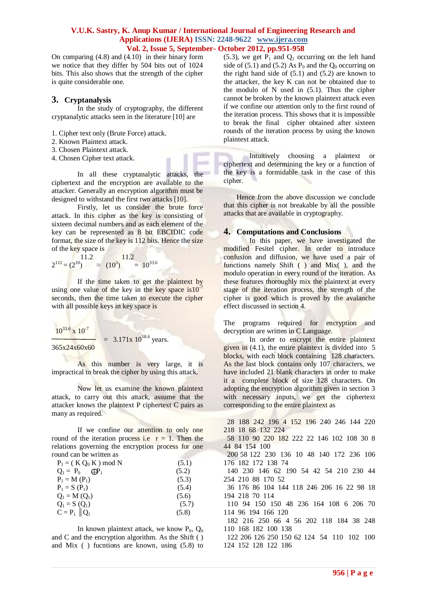On comparing (4.8) and (4.10) in their binary form we notice that they differ by 504 bits out of 1024 bits. This also shows that the strength of the cipher is quite considerable one.

# **3. Cryptanalysis**

In the study of cryptography, the different cryptanalytic attacks seen in the literature [10] are

- 1. Cipher text only (Brute Force) attack.
- 2. Known Plaintext attack.
- 3. Chosen Plaintext attack.
- 4. Chosen Cipher text attack.

In all these cryptanalytic attacks, the ciphertext and the encryption are available to the attacker. Generally an encryption algorithm must be designed to withstand the first two attacks [10].

Firstly, let us consider the brute force attack. In this cipher as the key is consisting of sixteen decimal numbers and as each element of the key can be represented as 8 bit EBCIDIC code format, the size of the key is 112 bits. Hence the size of the key space is

$$
2^{112} = (2^{10})
$$
<sup>11.2</sup>  $\approx (10^3)$ <sup>11.2</sup>  $= 10^{33.6}$ 

If the time taken to get the plaintext by using one value of the key in the key space  $is10^{-7}$ seconds, then the time taken to execute the cipher with all possible keys in key space is

 $10^{33.6}$  x  $10^{-7}$ 

$$
= 3.171x 10^{18.6}
$$
 years.  
365x24x60x60

As this number is very large, it is impractical to break the cipher by using this attack.

Now let us examine the known plaintext attack, to carry out this attack, assume that the attacker knows the plaintext P ciphertext C pairs as many as required.

If we confine our attention to only one round of the iteration process i.e  $r = 1$ . Then the relations governing the encryption process for one round can be written as

| $P_1 = (K Q_0 K) \text{ mod } N$ | (5.1) |
|----------------------------------|-------|
| $Q_1 = P_0$<br>$\mathbf{H}$      | (5.2) |
| $P_1 = M(P_1)$                   | (5.3) |
| $P_1 = S(P_1)$                   | (5.4) |
| $Q_1 = M(Q_1)$                   | (5.6) |
| $Q_1 = S(Q_1)$                   | (5.7) |
| $C = P_1    Q_1$                 | (5.8) |

In known plaintext attack, we know  $P_0$ ,  $Q_0$ and C and the encryption algorithm. As the Shift ( ) and Mix ( ) fucntions are known, using (5.8) to (5.3), we get  $P_1$  and  $Q_1$  occurring on the left hand side of (5.1) and (5.2) As  $P_0$  and the  $Q_0$  occurring on the right hand side of (5.1) and (5.2) are known to the attacker, the key K can not be obtained due to the modulo of N used in  $(5.1)$ . Thus the cipher cannot be broken by the known plaintext attack even if we confine our attention only to the first round of the iteration process. This shows that it is impossible to break the final cipher obtained after sixteen rounds of the iteration process by using the known plaintext attack.

Intuitively choosing a plaintext or ciphertext and determining the key or a function of the key is a formidable task in the case of this cipher.

Hence from the above discussion we conclude that this cipher is not breakable by all the possible attacks that are available in cryptography.

# **4. Computations and Conclusions**

In this paper, we have investigated the modified Fesitel cipher. In order to introduce confusion and diffusion, we have used a pair of functions namely Shift ( ) and Mix( ), and the modulo operation in every round of the iteration. As these features thoroughly mix the plaintext at every stage of the iteration process, the strength of the cipher is good which is proved by the avalanche effect discussed in section 4.

The programs required for encryption and decryption are written in C Language.

In order to encrypt the entire plaintext given in (4.1), the entire plaintext is divided into 5 blocks, with each block containing 128 characters. As the last block contains only 107 characters, we have included 21 blank characters in order to make it a complete block of size 128 characters. On adopting the encryption algorithm given in section 3 with necessary inputs, we get the ciphertext corresponding to the entire plaintext as

 28 188 242 196 4 152 196 240 246 144 220 218 18 68 132 224

 58 110 90 220 182 222 22 146 102 108 30 8 44 84 154 100

 200 58 122 230 136 10 48 140 172 236 106 176 182 172 138 74

 140 230 146 62 190 54 42 54 210 230 44 254 210 88 170 52

 36 176 86 104 144 118 246 206 16 22 98 18 194 218 70 114

 110 94 150 150 48 236 164 108 6 206 70 114 96 194 166 120

 182 216 250 66 4 56 202 118 184 38 248 110 168 182 100 138

 122 206 126 250 150 62 124 54 110 102 100 124 152 128 122 186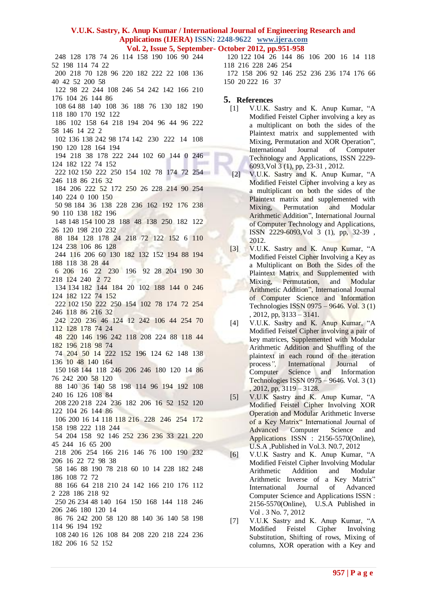- 120 122 104 26 144 86 106 200 16 14 118 118 216 228 246 254
- 172 158 206 92 146 252 236 236 174 176 66 150 20 222 16 37

## **5. References**

- [1] V.U.K. Sastry and K. Anup Kumar, "A Modified Feistel Cipher involving a key as a multiplicant on both the sides of the Plaintext matrix and supplemented with Mixing, Permutation and XOR Operation", International Journal of Computer Technology and Applications, ISSN 2229- 6093,Vol 3 (1), pp, 23-31 , 2012.
- [2] V.U.K. Sastry and K. Anup Kumar, "A Modified Feistel Cipher involving a key as a multiplicant on both the sides of the Plaintext matrix and supplemented with Mixing, Permutation and Modular Arithmetic Addition", International Journal of Computer Technology and Applications, ISSN 2229-6093,Vol 3 (1), pp, 32-39 , 2012.
- [3] V.U.K. Sastry and K. Anup Kumar, "A Modified Feistel Cipher Involving a Key as a Multiplicant on Both the Sides of the Plaintext Matrix and Supplemented with Mixing, Permutation, and Modular Arithmetic Addition", International Journal of Computer Science and Information Technologies ISSN 0975 – 9646. Vol. 3 (1) , 2012, pp, 3133 – 3141.
- [4] V.U.K. Sastry and K. Anup Kumar, "A Modified Feistel Cipher involving a pair of key matrices, Supplemented with Modular Arithmetic Addition and Shuffling of the plaintext in each round of the iteration process*",* International Journal of Computer Science and Information Technologies ISSN 0975 – 9646. Vol. 3 (1) , 2012, pp, 3119 – 3128.
- [5] V.U.K Sastry and K. Anup Kumar, "A Modified Feistel Cipher Involving XOR Operation and Modular Arithmetic Inverse of a Key Matrix" International Journal of Advanced Computer Science and Applications ISSN : 2156-5570(Online), U.S.A ,Published in Vol.3. N0.7, 2012
- [6] V.U.K Sastry and K. Anup Kumar, "A Modified Feistel Cipher Involving Modular Arithmetic Addition and Modular Arithmetic Inverse of a Key Matrix" International Journal of Advanced Computer Science and Applications ISSN : 2156-5570(Online), U.S.A Published in Vol . 3 No. 7, 2012
- [7] V.U.K Sastry and K. Anup Kumar, "A Modified Feistel Cipher Involving Substitution, Shifting of rows, Mixing of columns, XOR operation with a Key and